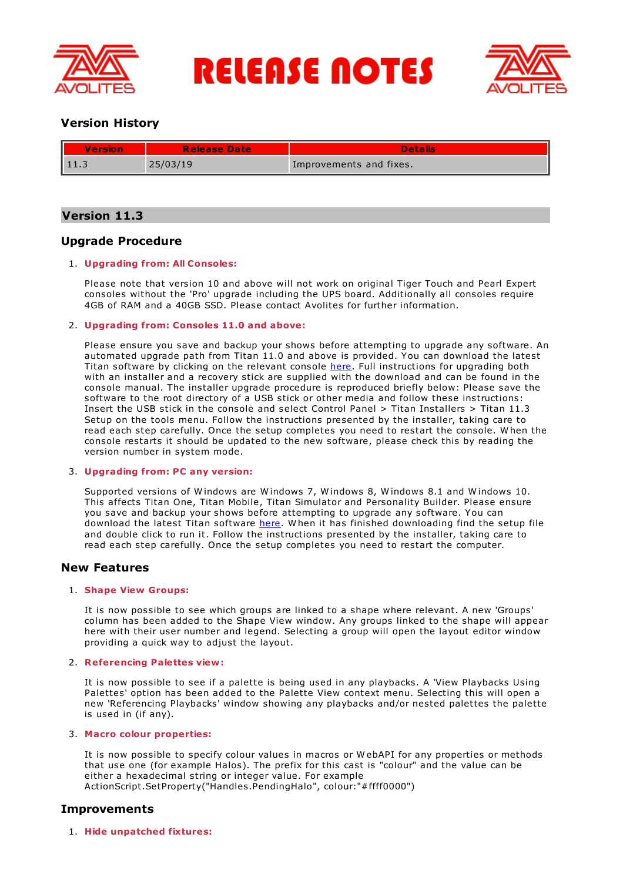

**RELEASE NOTES** 



# **Version History**

| Version      | <b>Release Date</b> | <b>Details</b>          |
|--------------|---------------------|-------------------------|
| $\vert$ 11.3 | 25/03/19            | Improvements and fixes. |

# **Version 11.3**

# **Upgrade Procedure**

# 1. **Upgrading from: All Consoles:**

Please note that version 10 and above will not work on original Tiger Touch and Pearl Expert consoles without the 'Pro' upgrade including the UPS board. Additionally all consoles require 4GB of RAM and a 40GB SSD. Please contact Avolites for further information.

## 2. **Upgrading from: Consoles 11.0 and above:**

Please ensure you save and backup your shows before attempting to upgrade any software. An automated upgrade path from Titan 11.0 and above is provided. You can download the latest Titan software by clicking on the relevant console [here](http://www.avolites.com/software/latest-version). Full instructions for upgrading both with an installer and a recovery stick are supplied with the download and can be found in the console manual. The installer upgrade procedure is reproduced briefly below: Please save the software to the root directory of a USB stick or other media and follow these instructions: Insert the USB stick in the console and select Control Panel > Titan Installers > Titan 11.3 Setup on the tools menu. Follow the instructions presented by the installer, taking care to read each step carefully. Once the setup completes you need to restart the console. W hen the console restarts it should be updated to the new software, please check this by reading the version number in system mode.

### 3. **Upgrading from: PC any version:**

Supported versions of W indows are W indows 7, W indows 8, W indows 8.1 and W indows 10. This affects Titan One, Titan Mobile, Titan Simulator and Personality Builder. Please ensure you save and backup your shows before attempting to upgrade any software. You can download the latest Titan software [here](http://www.avolites.com/software/latest-version). When it has finished downloading find the setup file and double click to run it. Follow the instructions presented by the installer, taking care to read each step carefully. Once the setup completes you need to restart the computer.

# **New Features**

### 1. **Shape View Groups:**

It is now possible to see which groups are linked to a shape where relevant. A new 'Groups' column has been added to the Shape View window. Any groups linked to the shape will appear here with their user number and legend. Selecting a group will open the layout editor window providing a quick way to adjust the layout.

### 2. **Referencing Palettes view:**

It is now possible to see if a palette is being used in any playbacks. A 'View Playbacks Using Palettes' option has been added to the Palette View context menu. Selecting this will open a new 'Referencing Playbacks' window showing any playbacks and/or nested palettes the palette is used in (if any).

### 3. **Macro colour properties:**

It is now possible to specify colour values in macros or W ebAPI for any properties or methods that use one (for example Halos). The prefix for this cast is "colour" and the value can be either a hexadecimal string or integer value. For example ActionScript.SetProperty("Handles.PendingHalo", colour:"#ffff0000")

# **Improvements**

1. **Hide unpatched fixtures:**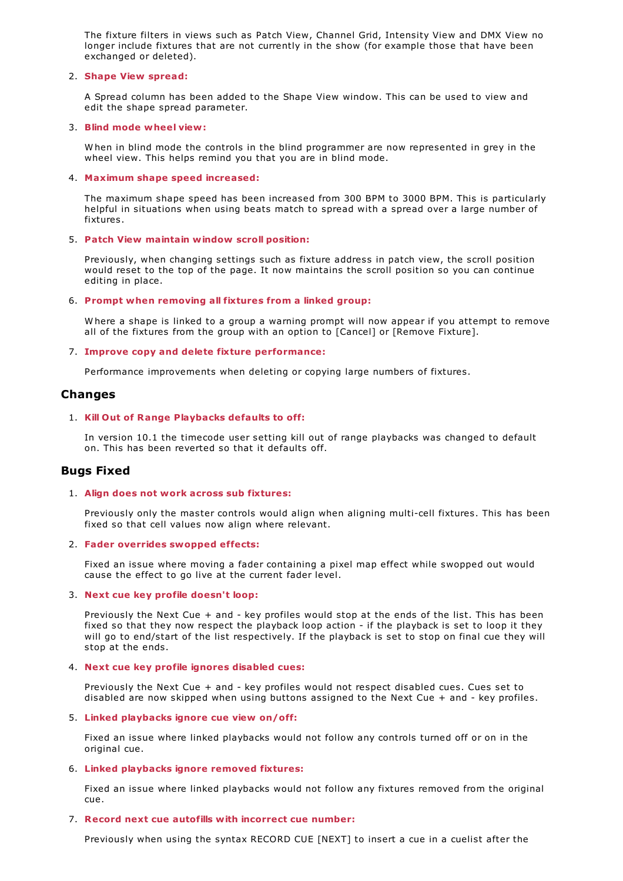The fixture filters in views such as Patch View, Channel Grid, Intensity View and DMX View no longer include fixtures that are not currently in the show (for example those that have been exchanged or deleted).

### 2. **Shape View spread:**

A Spread column has been added to the Shape View window. This can be used to view and edit the shape spread parameter.

#### 3. **Blind mode wheel view:**

W hen in blind mode the controls in the blind programmer are now represented in grey in the wheel view. This helps remind you that you are in blind mode.

#### 4. **Maximum shape speed increased:**

The maximum shape speed has been increased from 300 BPM to 3000 BPM. This is particularly helpful in situations when using beats match to spread with a spread over a large number of fixtures.

### 5. **Patch View maintain window scroll position:**

Previously, when changing settings such as fixture address in patch view, the scroll position would reset to the top of the page. It now maintains the scroll position so you can continue editing in place.

### 6. **Prompt when removing all fixtures from a linked group:**

W here a shape is linked to a group a warning prompt will now appear if you attempt to remove all of the fixtures from the group with an option to [Cancel] or [Remove Fixture].

### 7. **Improve copy and delete fixture performance:**

Performance improvements when deleting or copying large numbers of fixtures.

## **Changes**

### 1. **Kill Out of Range Playbacks defaults to off:**

In version 10.1 the timecode user setting kill out of range playbacks was changed to default on. This has been reverted so that it defaults off.

# **Bugs Fixed**

#### 1. **Align does not work across sub fixtures:**

Previously only the master controls would align when aligning multi-cell fixtures. This has been fixed so that cell values now align where relevant.

#### 2. **Fader overrides swopped effects:**

Fixed an issue where moving a fader containing a pixel map effect while swopped out would cause the effect to go live at the current fader level.

#### 3. **Next cue key profile doesn't loop:**

Previously the Next Cue + and - key profiles would stop at the ends of the list. This has been fixed so that they now respect the playback loop action - if the playback is set to loop it they will go to end/start of the list respectively. If the playback is set to stop on final cue they will stop at the ends.

#### 4. **Next cue key profile ignores disabled cues:**

Previously the Next Cue + and - key profiles would not respect disabled cues. Cues set to disabled are now skipped when using buttons assigned to the Next Cue + and - key profiles.

#### 5. **Linked playbacks ignore cue view on/off:**

Fixed an issue where linked playbacks would not follow any controls turned off or on in the original cue.

#### 6. **Linked playbacks ignore removed fixtures:**

Fixed an issue where linked playbacks would not follow any fixtures removed from the original cue.

### 7. **Record next cue autofills with incorrect cue number:**

Previously when using the syntax RECORD CUE [NEXT] to insert a cue in a cuelist after the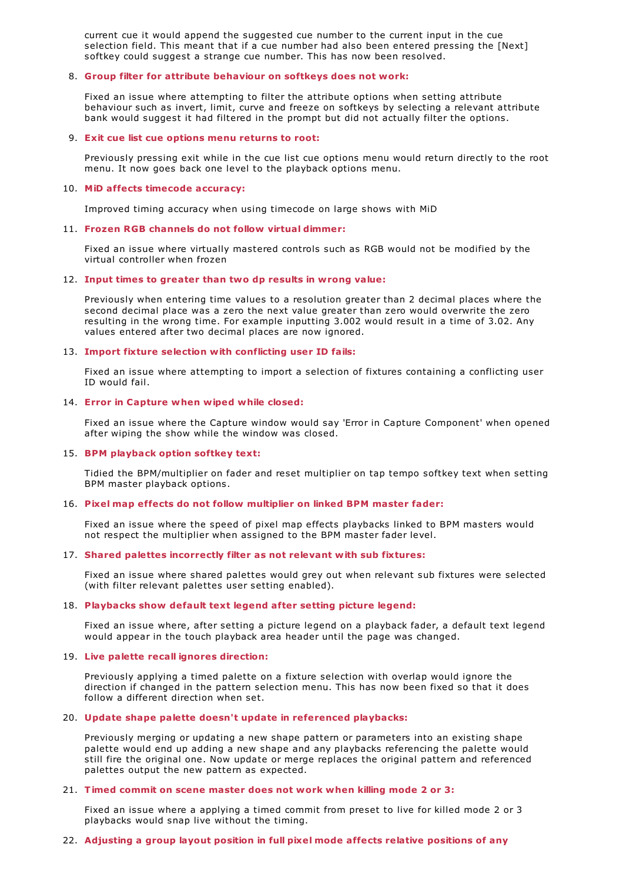current cue it would append the suggested cue number to the current input in the cue selection field. This meant that if a cue number had also been entered pressing the [Next] softkey could suggest a strange cue number. This has now been resolved.

### 8. **Group filter for attribute behaviour on softkeys does not work:**

Fixed an issue where attempting to filter the attribute options when setting attribute behaviour such as invert, limit, curve and freeze on softkeys by selecting a relevant attribute bank would suggest it had filtered in the prompt but did not actually filter the options.

#### 9. **Exit cue list cue options menu returns to root:**

Previously pressing exit while in the cue list cue options menu would return directly to the root menu. It now goes back one level to the playback options menu.

#### 10. **MiD affects timecode accuracy:**

Improved timing accuracy when using timecode on large shows with MiD

### 11. **Frozen RGB channels do not follow virtual dimmer:**

Fixed an issue where virtually mastered controls such as RGB would not be modified by the virtual controller when frozen

### 12. **Input times to greater than two dp results in wrong value:**

Previously when entering time values to a resolution greater than 2 decimal places where the second decimal place was a zero the next value greater than zero would overwrite the zero resulting in the wrong time. For example inputting 3.002 would result in a time of 3.02. Any values entered after two decimal places are now ignored.

### 13. **Import fixture selection with conflicting user ID fails:**

Fixed an issue where attempting to import a selection of fixtures containing a conflicting user ID would fail.

### 14. **Error in Capture when wiped while closed:**

Fixed an issue where the Capture window would say 'Error in Capture Component' when opened after wiping the show while the window was closed.

#### 15. **BPM playback option softkey text:**

Tidied the BPM/multiplier on fader and reset multiplier on tap tempo softkey text when setting BPM master playback options.

#### 16. **Pixel map effects do not follow multiplier on linked BPM master fader:**

Fixed an issue where the speed of pixel map effects playbacks linked to BPM masters would not respect the multiplier when assigned to the BPM master fader level.

### 17. **Shared palettes incorrectly filter as not relevant with sub fixtures:**

Fixed an issue where shared palettes would grey out when relevant sub fixtures were selected (with filter relevant palettes user setting enabled).

### 18. **Playbacks show default text legend after setting picture legend:**

Fixed an issue where, after setting a picture legend on a playback fader, a default text legend would appear in the touch playback area header until the page was changed.

#### 19. **Live palette recall ignores direction:**

Previously applying a timed palette on a fixture selection with overlap would ignore the direction if changed in the pattern selection menu. This has now been fixed so that it does follow a different direction when set.

### 20. **Update shape palette doesn't update in referenced playbacks:**

Previously merging or updating a new shape pattern or parameters into an existing shape palette would end up adding a new shape and any playbacks referencing the palette would still fire the original one. Now update or merge replaces the original pattern and referenced palettes output the new pattern as expected.

### 21. **Timed commit on scene master does not work when killing mode 2 or 3:**

Fixed an issue where a applying a timed commit from preset to live for killed mode 2 or 3 playbacks would snap live without the timing.

### 22. **Adjusting a group layout position in full pixel mode affects relative positions of any**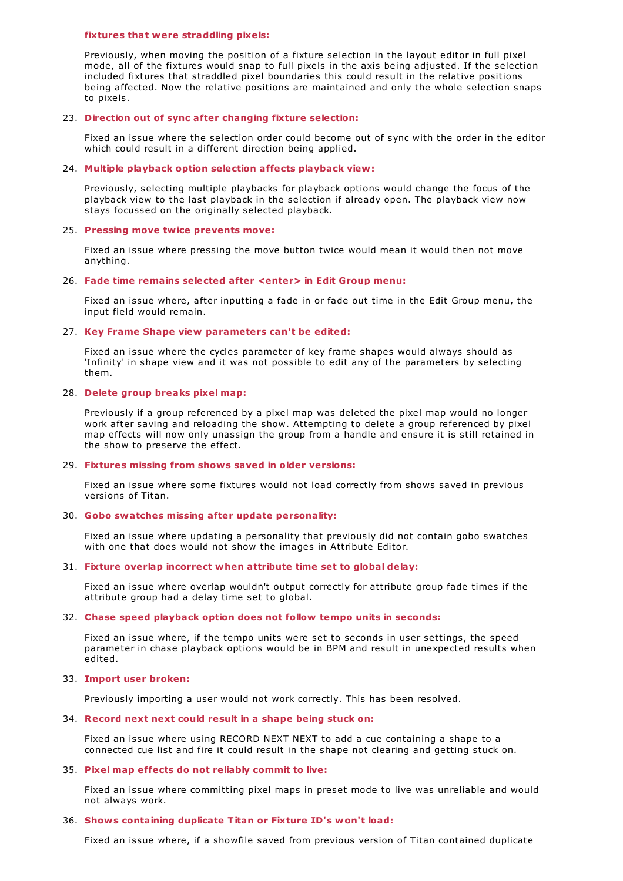#### **fixtures that were straddling pixels:**

Previously, when moving the position of a fixture selection in the layout editor in full pixel mode, all of the fixtures would snap to full pixels in the axis being adjusted. If the selection included fixtures that straddled pixel boundaries this could result in the relative positions being affected. Now the relative positions are maintained and only the whole selection snaps to pixels.

#### 23. **Direction out of sync after changing fixture selection:**

Fixed an issue where the selection order could become out of sync with the order in the editor which could result in a different direction being applied.

### 24. **Multiple playback option selection affects playback view:**

Previously, selecting multiple playbacks for playback options would change the focus of the playback view to the last playback in the selection if already open. The playback view now stays focussed on the originally selected playback.

#### 25. **Pressing move twice prevents move:**

Fixed an issue where pressing the move button twice would mean it would then not move anything.

#### 26. **Fade time remains selected after <enter> in Edit Group menu:**

Fixed an issue where, after inputting a fade in or fade out time in the Edit Group menu, the input field would remain.

### 27. **Key Frame Shape view parameters can't be edited:**

Fixed an issue where the cycles parameter of key frame shapes would always should as 'Infinity' in shape view and it was not possible to edit any of the parameters by selecting them.

### 28. **Delete group breaks pixel map:**

Previously if a group referenced by a pixel map was deleted the pixel map would no longer work after saving and reloading the show. Attempting to delete a group referenced by pixel map effects will now only unassign the group from a handle and ensure it is still retained in the show to preserve the effect.

#### 29. **Fixtures missing from shows saved in older versions:**

Fixed an issue where some fixtures would not load correctly from shows saved in previous versions of Titan.

#### 30. **Gobo swatches missing after update personality:**

Fixed an issue where updating a personality that previously did not contain gobo swatches with one that does would not show the images in Attribute Editor.

#### 31. **Fixture overlap incorrect when attribute time set to global delay:**

Fixed an issue where overlap wouldn't output correctly for attribute group fade times if the attribute group had a delay time set to global.

### 32. **Chase speed playback option does not follow tempo units in seconds:**

Fixed an issue where, if the tempo units were set to seconds in user settings, the speed parameter in chase playback options would be in BPM and result in unexpected results when edited.

#### 33. **Import user broken:**

Previously importing a user would not work correctly. This has been resolved.

### 34. **Record next next could result in a shape being stuck on:**

Fixed an issue where using RECORD NEXT NEXT to add a cue containing a shape to a connected cue list and fire it could result in the shape not clearing and getting stuck on.

#### 35. **Pixel map effects do not reliably commit to live:**

Fixed an issue where committing pixel maps in preset mode to live was unreliable and would not always work.

# 36. **Shows containing duplicate Titan or Fixture ID's won't load:**

Fixed an issue where, if a showfile saved from previous version of Titan contained duplicate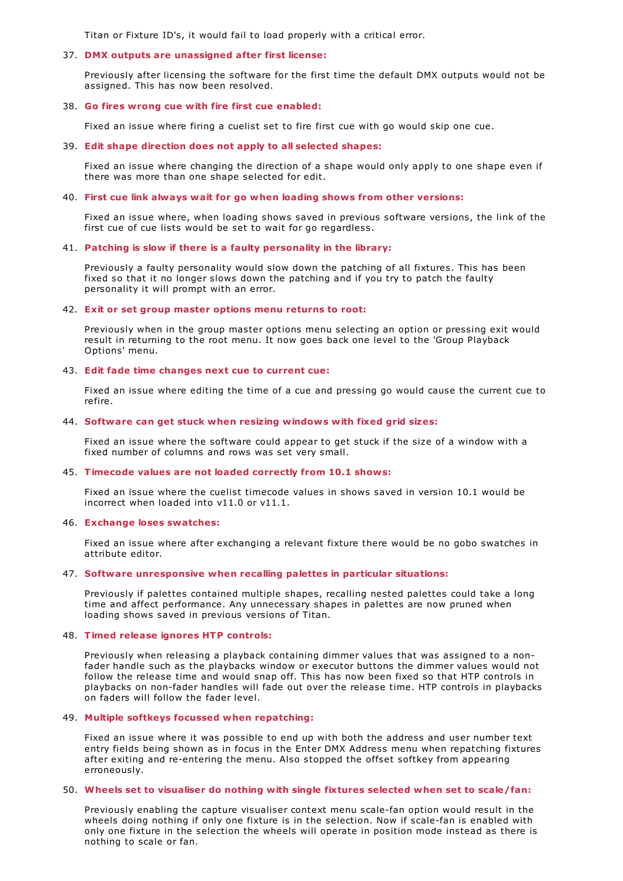Titan or Fixture ID's, it would fail to load properly with a critical error.

### 37. **DMX outputs are unassigned after first license:**

Previously after licensing the software for the first time the default DMX outputs would not be assigned. This has now been resolved.

### 38. **Go fires wrong cue with fire first cue enabled:**

Fixed an issue where firing a cuelist set to fire first cue with go would skip one cue.

### 39. **Edit shape direction does not apply to all selected shapes:**

Fixed an issue where changing the direction of a shape would only apply to one shape even if there was more than one shape selected for edit.

### 40. **First cue link always wait for go when loading shows from other versions:**

Fixed an issue where, when loading shows saved in previous software versions, the link of the first cue of cue lists would be set to wait for go regardless.

### 41. **Patching is slow if there is a faulty personality in the library:**

Previously a faulty personality would slow down the patching of all fixtures. This has been fixed so that it no longer slows down the patching and if you try to patch the faulty personality it will prompt with an error.

### 42. **Exit or set group master options menu returns to root:**

Previously when in the group master options menu selecting an option or pressing exit would result in returning to the root menu. It now goes back one level to the 'Group Playback Options' menu.

## 43. **Edit fade time changes next cue to current cue:**

Fixed an issue where editing the time of a cue and pressing go would cause the current cue to refire.

### 44. **Software can get stuck when resizing windows with fixed grid sizes:**

Fixed an issue where the software could appear to get stuck if the size of a window with a fixed number of columns and rows was set very small.

#### 45. **Timecode values are not loaded correctly from 10.1 shows:**

Fixed an issue where the cuelist timecode values in shows saved in version 10.1 would be incorrect when loaded into v11.0 or v11.1.

#### 46. **Exchange loses swatches:**

Fixed an issue where after exchanging a relevant fixture there would be no gobo swatches in attribute editor.

#### 47. **Software unresponsive when recalling palettes in particular situations:**

Previously if palettes contained multiple shapes, recalling nested palettes could take a long time and affect performance. Any unnecessary shapes in palettes are now pruned when loading shows saved in previous versions of Titan.

### 48. **Timed release ignores HTP controls:**

Previously when releasing a playback containing dimmer values that was assigned to a nonfader handle such as the playbacks window or executor buttons the dimmer values would not follow the release time and would snap off. This has now been fixed so that HTP controls in playbacks on non-fader handles will fade out over the release time. HTP controls in playbacks on faders will follow the fader level.

### 49. **Multiple softkeys focussed when repatching:**

Fixed an issue where it was possible to end up with both the address and user number text entry fields being shown as in focus in the Enter DMX Address menu when repatching fixtures after exiting and re-entering the menu. Also stopped the offset softkey from appearing erroneously.

#### 50. **Wheels set to visualiser do nothing with single fixtures selected when set to scale/fan:**

Previously enabling the capture visualiser context menu scale-fan option would result in the wheels doing nothing if only one fixture is in the selection. Now if scale-fan is enabled with only one fixture in the selection the wheels will operate in position mode instead as there is nothing to scale or fan.